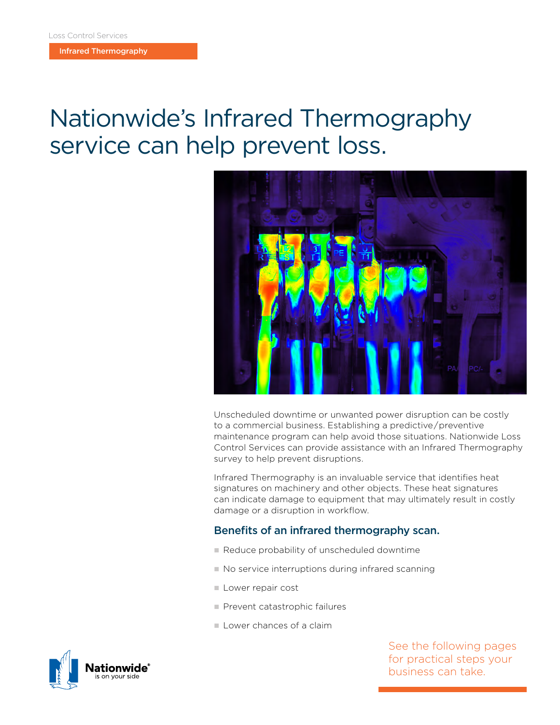Infrared Thermography

## Nationwide's Infrared Thermography service can help prevent loss.



Unscheduled downtime or unwanted power disruption can be costly to a commercial business. Establishing a predictive / preventive maintenance program can help avoid those situations. Nationwide Loss Control Services can provide assistance with an Infrared Thermography survey to help prevent disruptions.

Infrared Thermography is an invaluable service that identifies heat signatures on machinery and other objects. These heat signatures can indicate damage to equipment that may ultimately result in costly damage or a disruption in workflow.

## Benefits of an infrared thermography scan.

- Reduce probability of unscheduled downtime
- $\blacksquare$  No service interruptions during infrared scanning
- **Lower repair cost**
- **Prevent catastrophic failures**
- **Lower chances of a claim**

See the following pages for practical steps your business can take.